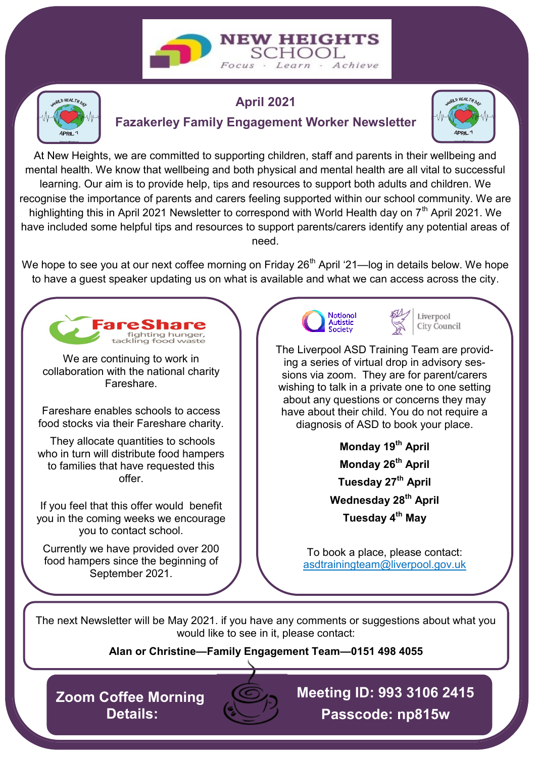



## **April 2021**

## **Fazakerley Family Engagement Worker Newsletter**



At New Heights, we are committed to supporting children, staff and parents in their wellbeing and mental health. We know that wellbeing and both physical and mental health are all vital to successful learning. Our aim is to provide help, tips and resources to support both adults and children. We recognise the importance of parents and carers feeling supported within our school community. We are highlighting this in April 2021 Newsletter to correspond with World Health day on 7<sup>th</sup> April 2021. We have included some helpful tips and resources to support parents/carers identify any potential areas of need.

We hope to see you at our next coffee morning on Friday 26<sup>th</sup> April '21—log in details below. We hope to have a guest speaker updating us on what is available and what we can access across the city.



The next Newsletter will be May 2021. if you have any comments or suggestions about what you would like to see in it, please contact:

**Alan or Christine—Family Engagement Team—0151 498 4055**

**Zoom Coffee Morning Details:**



**Meeting ID: 993 3106 2415 Passcode: np815w**